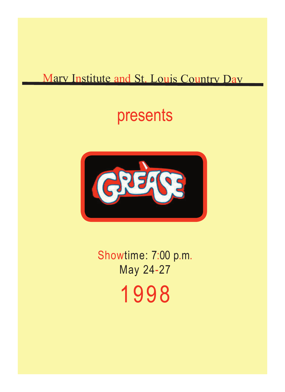#### Mary Institute and St. Louis Country Day

### presents



Showtime: 7:00 p.m. May 24-27 1998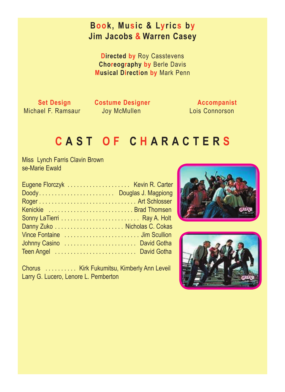#### **Book, Music & Lyrics by Jim Jacobs & Warren Casey**

**Directed by** Roy Casstevens **Choreography by** Berle Davis **Musical Direction by** Mark Penn

Michael F. Ramsaur Joy McMullen

**Set Design Costume Designer Accompanist**<br>ael F. Ramsaur doy McMullen Lois Connorson

#### **C A S T O F C H A R A C T E R S**

 Miss Lynch Farris Clavin Brown se-Marie Ewald

| Doody Douglas J. Magpiong  |  |
|----------------------------|--|
|                            |  |
| Kenickie  Brad Thomsen     |  |
|                            |  |
|                            |  |
|                            |  |
| Johnny Casino  David Gotha |  |
| Teen Angel  David Gotha    |  |
|                            |  |

 Chorus . . . . . . . . . . Kirk Fukumitsu, Kimberly Ann Leveil Larry G. Lucero, Lenore L. Pemberton



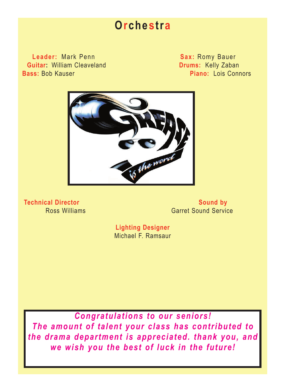#### **Orchestra**

**Leader:** Mark Penn **Sax:** Romy Bauer **Guitar:** William Cleaveland **Drums:** Kelly Zaban **Bass:** Bob Kauser **Piano:** Lois Connors



**Technical Director** Sound by Sound by **Ross Williams** Garret Sound Service

> **Lighting Designer** Michael F. Ramsaur

*Congratulations to our seniors! The amount of talent your class has contributed to the drama department is appreciated. thank you, and we wish you the best of luck in the future!*